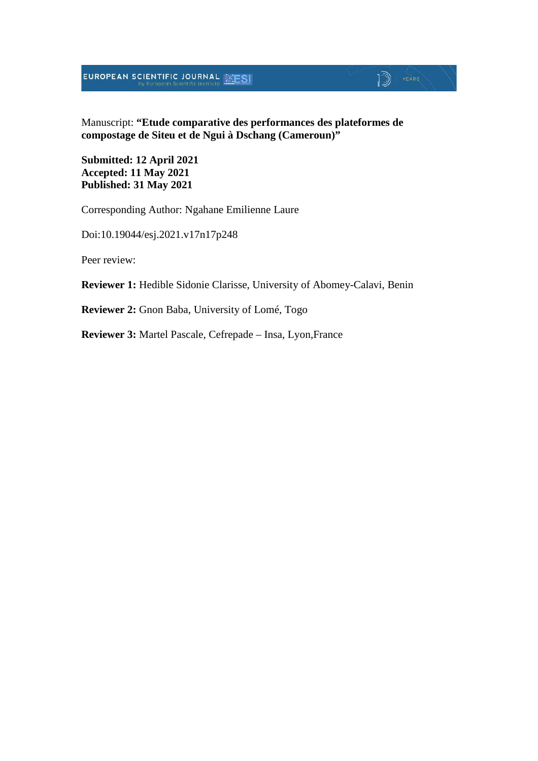## **EUROPEAN SCIENTIFIC JOURNAL SESI**

#### Manuscript: **"Etude comparative des performances des plateformes de compostage de Siteu et de Ngui à Dschang (Cameroun)"**

 $\mathbb{D}$  YEARS

**Submitted: 12 April 2021 Accepted: 11 May 2021 Published: 31 May 2021**

Corresponding Author: Ngahane Emilienne Laure

Doi:10.19044/esj.2021.v17n17p248

Peer review:

**Reviewer 1:** Hedible Sidonie Clarisse, University of Abomey-Calavi, Benin

**Reviewer 2:** Gnon Baba, University of Lomé, Togo

**Reviewer 3:** Martel Pascale, Cefrepade – Insa, Lyon,France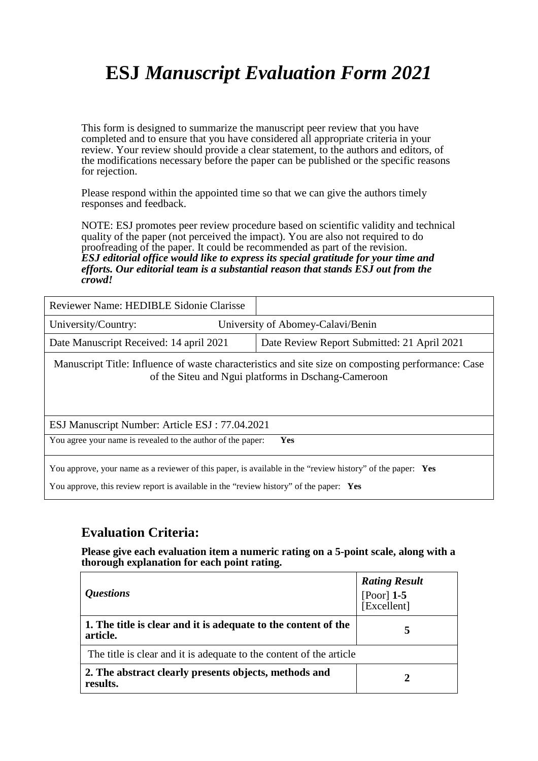# **ESJ** *Manuscript Evaluation Form 2021*

This form is designed to summarize the manuscript peer review that you have completed and to ensure that you have considered all appropriate criteria in your review. Your review should provide a clear statement, to the authors and editors, of the modifications necessary before the paper can be published or the specific reasons for rejection.

Please respond within the appointed time so that we can give the authors timely responses and feedback.

NOTE: ESJ promotes peer review procedure based on scientific validity and technical quality of the paper (not perceived the impact). You are also not required to do proofreading of the paper. It could be recommended as part of the revision. *ESJ editorial office would like to express its special gratitude for your time and efforts. Our editorial team is a substantial reason that stands ESJ out from the crowd!* 

| Reviewer Name: HEDIBLE Sidonie Clarisse |                                             |
|-----------------------------------------|---------------------------------------------|
| University/Country:                     | University of Abomey-Calavi/Benin           |
| Date Manuscript Received: 14 april 2021 | Date Review Report Submitted: 21 April 2021 |

Manuscript Title: Influence of waste characteristics and site size on composting performance: Case of the Siteu and Ngui platforms in Dschang-Cameroon

ESJ Manuscript Number: Article ESJ : 77.04.2021

You agree your name is revealed to the author of the paper: **Yes**

You approve, your name as a reviewer of this paper, is available in the "review history" of the paper: **Yes**

You approve, this review report is available in the "review history" of the paper: **Yes**

## **Evaluation Criteria:**

**Please give each evaluation item a numeric rating on a 5-point scale, along with a thorough explanation for each point rating.**

| <i><b>Questions</b></i>                                                    | <b>Rating Result</b><br>[Poor] $1-5$<br>[Excellent] |
|----------------------------------------------------------------------------|-----------------------------------------------------|
| 1. The title is clear and it is adequate to the content of the<br>article. | 5                                                   |
| The title is clear and it is adequate to the content of the article        |                                                     |
| 2. The abstract clearly presents objects, methods and<br>results.          |                                                     |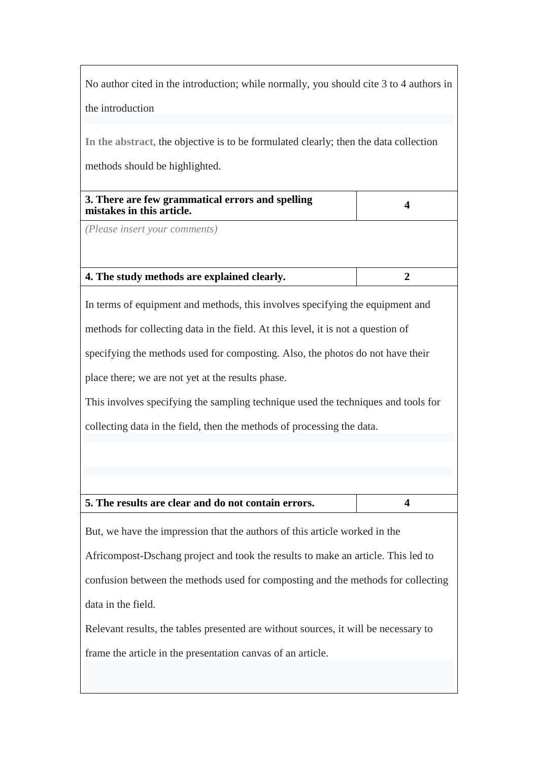No author cited in the introduction; while normally, you should cite 3 to 4 authors in the introduction

**In the abstract,** the objective is to be formulated clearly; then the data collection

methods should be highlighted.

*(Please insert your comments)*

#### **4. The study methods are explained clearly. 2**

In terms of equipment and methods, this involves specifying the equipment and methods for collecting data in the field. At this level, it is not a question of specifying the methods used for composting. Also, the photos do not have their place there; we are not yet at the results phase.

This involves specifying the sampling technique used the techniques and tools for collecting data in the field, then the methods of processing the data.

#### **5. The results are clear and do not contain errors. 4**

But, we have the impression that the authors of this article worked in the Africompost-Dschang project and took the results to make an article. This led to confusion between the methods used for composting and the methods for collecting data in the field.

Relevant results, the tables presented are without sources, it will be necessary to frame the article in the presentation canvas of an article.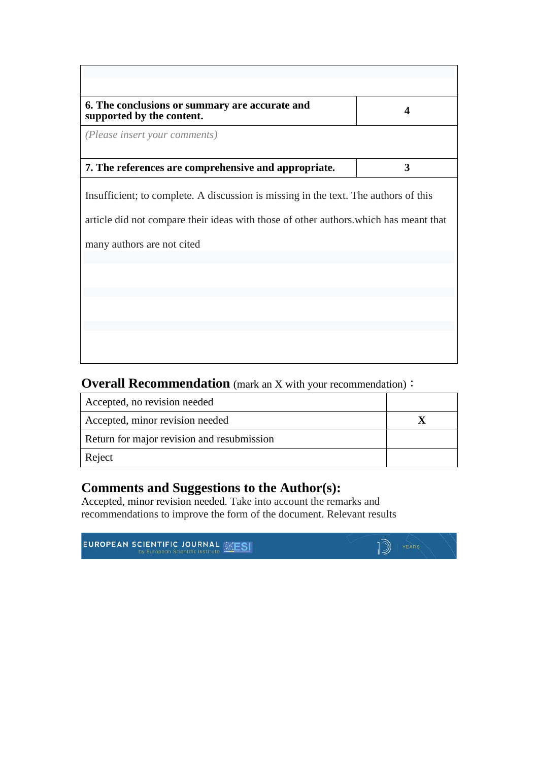| 6. The conclusions or summary are accurate and<br>supported by the content.                                                                                                                                |   |
|------------------------------------------------------------------------------------------------------------------------------------------------------------------------------------------------------------|---|
| (Please insert your comments)                                                                                                                                                                              |   |
| 7. The references are comprehensive and appropriate.                                                                                                                                                       | 3 |
| Insufficient; to complete. A discussion is missing in the text. The authors of this<br>article did not compare their ideas with those of other authors, which has meant that<br>many authors are not cited |   |
|                                                                                                                                                                                                            |   |
|                                                                                                                                                                                                            |   |

**Overall Recommendation** (mark an X with your recommendation):

| Accepted, no revision needed               |  |
|--------------------------------------------|--|
| Accepted, minor revision needed            |  |
| Return for major revision and resubmission |  |
| Reject                                     |  |

### **Comments and Suggestions to the Author(s):**

Accepted, minor revision needed. Take into account the remarks and recommendations to improve the form of the document. Relevant results

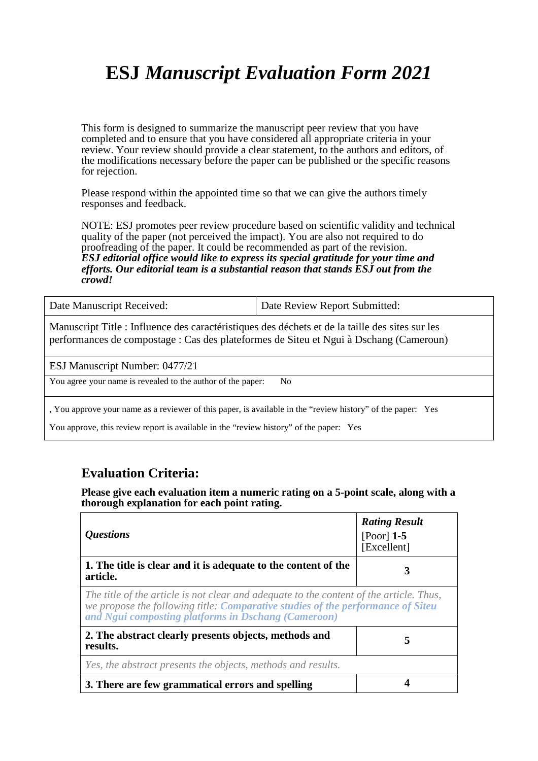# **ESJ** *Manuscript Evaluation Form 2021*

This form is designed to summarize the manuscript peer review that you have completed and to ensure that you have considered all appropriate criteria in your review. Your review should provide a clear statement, to the authors and editors, of the modifications necessary before the paper can be published or the specific reasons for rejection.

Please respond within the appointed time so that we can give the authors timely responses and feedback.

NOTE: ESJ promotes peer review procedure based on scientific validity and technical quality of the paper (not perceived the impact). You are also not required to do proofreading of the paper. It could be recommended as part of the revision. *ESJ editorial office would like to express its special gratitude for your time and efforts. Our editorial team is a substantial reason that stands ESJ out from the crowd!* 

| Date Manuscript Received:                                                                                                                                                                 | Date Review Report Submitted: |
|-------------------------------------------------------------------------------------------------------------------------------------------------------------------------------------------|-------------------------------|
| Manuscript Title : Influence des caractéristiques des déchets et de la taille des sites sur les<br>performances de compostage : Cas des plateformes de Siteu et Ngui à Dschang (Cameroun) |                               |
|                                                                                                                                                                                           |                               |

ESJ Manuscript Number: 0477/21

You agree your name is revealed to the author of the paper: No

, You approve your name as a reviewer of this paper, is available in the "review history" of the paper: Yes

You approve, this review report is available in the "review history" of the paper: Yes

#### **Evaluation Criteria:**

**Please give each evaluation item a numeric rating on a 5-point scale, along with a thorough explanation for each point rating.**

| <i><b>Questions</b></i>                                                                                                                                                                                                           | <b>Rating Result</b><br>$[Poor]$ 1-5<br>[Excellent] |
|-----------------------------------------------------------------------------------------------------------------------------------------------------------------------------------------------------------------------------------|-----------------------------------------------------|
| 1. The title is clear and it is adequate to the content of the<br>article.                                                                                                                                                        |                                                     |
| The title of the article is not clear and adequate to the content of the article. Thus,<br>we propose the following title: Comparative studies of the performance of Siteu<br>and Ngui composting platforms in Dschang (Cameroon) |                                                     |
| 2. The abstract clearly presents objects, methods and<br>results.                                                                                                                                                                 | 5                                                   |
| Yes, the abstract presents the objects, methods and results.                                                                                                                                                                      |                                                     |
| 3. There are few grammatical errors and spelling                                                                                                                                                                                  |                                                     |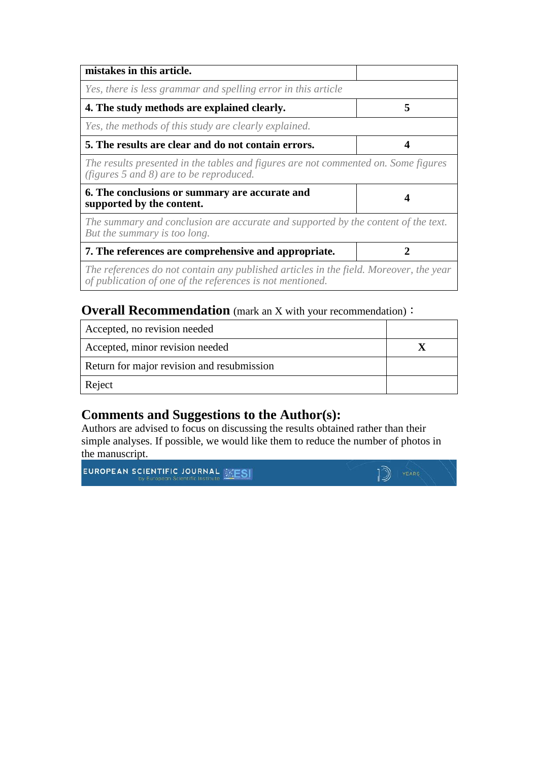| mistakes in this article.                                                                                                                          |   |
|----------------------------------------------------------------------------------------------------------------------------------------------------|---|
| Yes, there is less grammar and spelling error in this article                                                                                      |   |
| 4. The study methods are explained clearly.                                                                                                        | 5 |
| Yes, the methods of this study are clearly explained.                                                                                              |   |
| 5. The results are clear and do not contain errors.                                                                                                |   |
| The results presented in the tables and figures are not commented on. Some figures<br>(figures $5$ and $8$ ) are to be reproduced.                 |   |
| 6. The conclusions or summary are accurate and<br>supported by the content.                                                                        |   |
| The summary and conclusion are accurate and supported by the content of the text.<br>But the summary is too long.                                  |   |
| 7. The references are comprehensive and appropriate.                                                                                               |   |
| The references do not contain any published articles in the field. Moreover, the year<br>of publication of one of the references is not mentioned. |   |

### **Overall Recommendation** (mark an X with your recommendation):

| Accepted, no revision needed               |  |
|--------------------------------------------|--|
| Accepted, minor revision needed            |  |
| Return for major revision and resubmission |  |
| Reject                                     |  |

## **Comments and Suggestions to the Author(s):**

Authors are advised to focus on discussing the results obtained rather than their simple analyses. If possible, we would like them to reduce the number of photos in the manuscript.

**EUROPEAN SCIENTIFIC JOURNAL EXESI** 

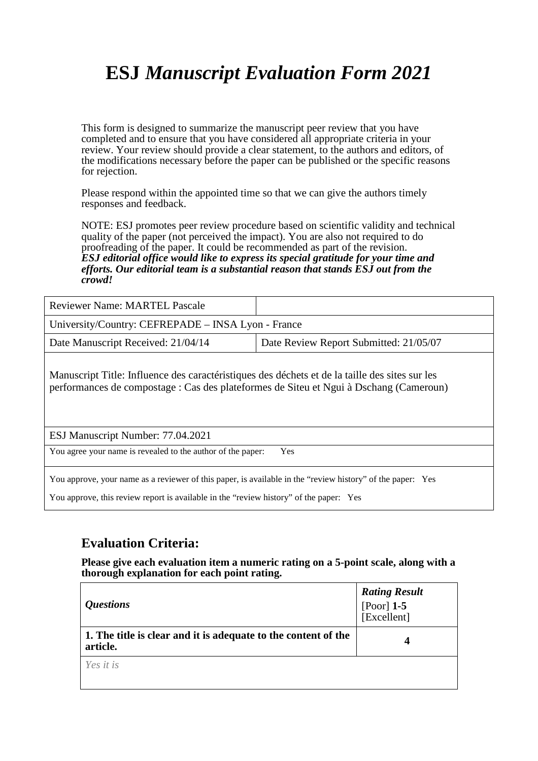# **ESJ** *Manuscript Evaluation Form 2021*

This form is designed to summarize the manuscript peer review that you have completed and to ensure that you have considered all appropriate criteria in your review. Your review should provide a clear statement, to the authors and editors, of the modifications necessary before the paper can be published or the specific reasons for rejection.

Please respond within the appointed time so that we can give the authors timely responses and feedback.

NOTE: ESJ promotes peer review procedure based on scientific validity and technical quality of the paper (not perceived the impact). You are also not required to do proofreading of the paper. It could be recommended as part of the revision. *ESJ editorial office would like to express its special gratitude for your time and efforts. Our editorial team is a substantial reason that stands ESJ out from the crowd!* 

| <b>Reviewer Name: MARTEL Pascale</b>               |                                        |
|----------------------------------------------------|----------------------------------------|
| University/Country: CEFREPADE – INSA Lyon - France |                                        |
| Date Manuscript Received: 21/04/14                 | Date Review Report Submitted: 21/05/07 |

Manuscript Title: Influence des caractéristiques des déchets et de la taille des sites sur les performances de compostage : Cas des plateformes de Siteu et Ngui à Dschang (Cameroun)

ESJ Manuscript Number: 77.04.2021

You agree your name is revealed to the author of the paper: Yes

You approve, your name as a reviewer of this paper, is available in the "review history" of the paper: Yes

You approve, this review report is available in the "review history" of the paper: Yes

#### **Evaluation Criteria:**

**Please give each evaluation item a numeric rating on a 5-point scale, along with a thorough explanation for each point rating.**

| <i><b>Questions</b></i>                                                    | <b>Rating Result</b><br>[Poor] $1-5$<br>[Excellent] |
|----------------------------------------------------------------------------|-----------------------------------------------------|
| 1. The title is clear and it is adequate to the content of the<br>article. | 4                                                   |
| Yes it is                                                                  |                                                     |